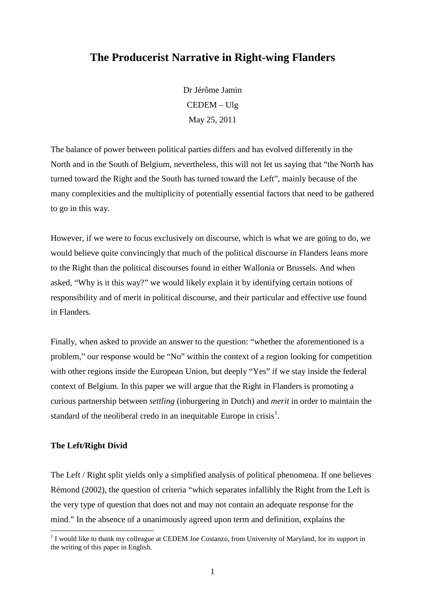# **The Producerist Narrative in Right-wing Flanders**

Dr Jérôme Jamin CEDEM – Ulg May 25, 2011

The balance of power between political parties differs and has evolved differently in the North and in the South of Belgium, nevertheless, this will not let us saying that "the North has turned toward the Right and the South has turned toward the Left", mainly because of the many complexities and the multiplicity of potentially essential factors that need to be gathered to go in this way.

However, if we were to focus exclusively on discourse, which is what we are going to do, we would believe quite convincingly that much of the political discourse in Flanders leans more to the Right than the political discourses found in either Wallonia or Brussels. And when asked, "Why is it this way?" we would likely explain it by identifying certain notions of responsibility and of merit in political discourse, and their particular and effective use found in Flanders.

Finally, when asked to provide an answer to the question: "whether the aforementioned is a problem," our response would be "No" within the context of a region looking for competition with other regions inside the European Union, but deeply "Yes" if we stay inside the federal context of Belgium. In this paper we will argue that the Right in Flanders is promoting a curious partnership between *settling* (inburgering in Dutch) and *merit* in order to maintain the standard of the neoliberal credo in an inequitable Europe in crisis<sup>1</sup>.

#### **The Left/Right Divid**

 $\overline{a}$ 

The Left / Right split yields only a simplified analysis of political phenomena. If one believes Rémond (2002), the question of criteria "which separates infallibly the Right from the Left is the very type of question that does not and may not contain an adequate response for the mind." In the absence of a unanimously agreed upon term and definition, explains the

<sup>&</sup>lt;sup>1</sup> I would like to thank my colleague at CEDEM Joe Costanzo, from University of Maryland, for its support in the writing of this paper in English.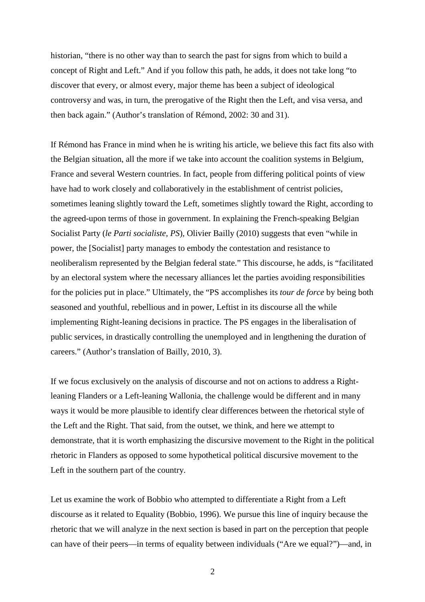historian, "there is no other way than to search the past for signs from which to build a concept of Right and Left." And if you follow this path, he adds, it does not take long "to discover that every, or almost every, major theme has been a subject of ideological controversy and was, in turn, the prerogative of the Right then the Left, and visa versa, and then back again." (Author's translation of Rémond, 2002: 30 and 31).

If Rémond has France in mind when he is writing his article, we believe this fact fits also with the Belgian situation, all the more if we take into account the coalition systems in Belgium, France and several Western countries. In fact, people from differing political points of view have had to work closely and collaboratively in the establishment of centrist policies, sometimes leaning slightly toward the Left, sometimes slightly toward the Right, according to the agreed-upon terms of those in government. In explaining the French-speaking Belgian Socialist Party (*le Parti socialiste, PS*), Olivier Bailly (2010) suggests that even "while in power, the [Socialist] party manages to embody the contestation and resistance to neoliberalism represented by the Belgian federal state." This discourse, he adds, is "facilitated by an electoral system where the necessary alliances let the parties avoiding responsibilities for the policies put in place." Ultimately, the "PS accomplishes its *tour de force* by being both seasoned and youthful, rebellious and in power, Leftist in its discourse all the while implementing Right-leaning decisions in practice. The PS engages in the liberalisation of public services, in drastically controlling the unemployed and in lengthening the duration of careers." (Author's translation of Bailly, 2010, 3).

If we focus exclusively on the analysis of discourse and not on actions to address a Rightleaning Flanders or a Left-leaning Wallonia, the challenge would be different and in many ways it would be more plausible to identify clear differences between the rhetorical style of the Left and the Right. That said, from the outset, we think, and here we attempt to demonstrate, that it is worth emphasizing the discursive movement to the Right in the political rhetoric in Flanders as opposed to some hypothetical political discursive movement to the Left in the southern part of the country.

Let us examine the work of Bobbio who attempted to differentiate a Right from a Left discourse as it related to Equality (Bobbio, 1996). We pursue this line of inquiry because the rhetoric that we will analyze in the next section is based in part on the perception that people can have of their peers—in terms of equality between individuals ("Are we equal?")—and, in

2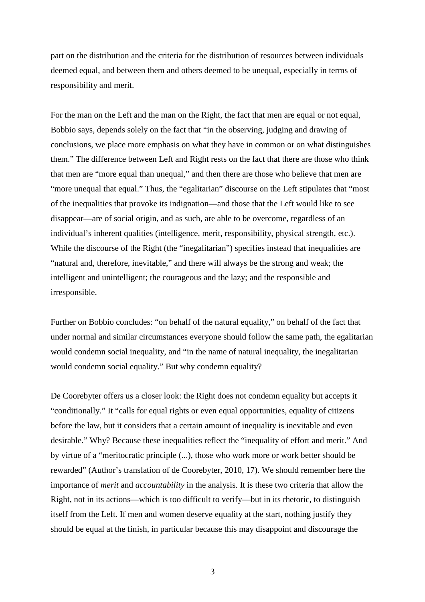part on the distribution and the criteria for the distribution of resources between individuals deemed equal, and between them and others deemed to be unequal, especially in terms of responsibility and merit.

For the man on the Left and the man on the Right, the fact that men are equal or not equal, Bobbio says, depends solely on the fact that "in the observing, judging and drawing of conclusions, we place more emphasis on what they have in common or on what distinguishes them." The difference between Left and Right rests on the fact that there are those who think that men are "more equal than unequal," and then there are those who believe that men are "more unequal that equal." Thus, the "egalitarian" discourse on the Left stipulates that "most of the inequalities that provoke its indignation—and those that the Left would like to see disappear—are of social origin, and as such, are able to be overcome, regardless of an individual's inherent qualities (intelligence, merit, responsibility, physical strength, etc.). While the discourse of the Right (the "inegalitarian") specifies instead that inequalities are "natural and, therefore, inevitable," and there will always be the strong and weak; the intelligent and unintelligent; the courageous and the lazy; and the responsible and irresponsible.

Further on Bobbio concludes: "on behalf of the natural equality," on behalf of the fact that under normal and similar circumstances everyone should follow the same path, the egalitarian would condemn social inequality, and "in the name of natural inequality, the inegalitarian would condemn social equality." But why condemn equality?

De Coorebyter offers us a closer look: the Right does not condemn equality but accepts it "conditionally." It "calls for equal rights or even equal opportunities, equality of citizens before the law, but it considers that a certain amount of inequality is inevitable and even desirable." Why? Because these inequalities reflect the "inequality of effort and merit." And by virtue of a "meritocratic principle (...), those who work more or work better should be rewarded" (Author's translation of de Coorebyter, 2010, 17). We should remember here the importance of *merit* and *accountability* in the analysis. It is these two criteria that allow the Right, not in its actions—which is too difficult to verify—but in its rhetoric, to distinguish itself from the Left. If men and women deserve equality at the start, nothing justify they should be equal at the finish, in particular because this may disappoint and discourage the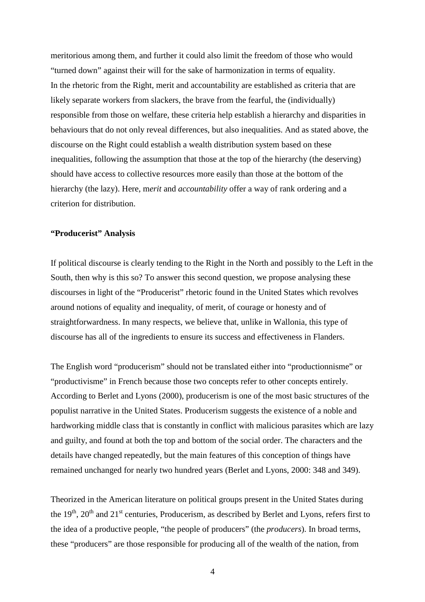meritorious among them, and further it could also limit the freedom of those who would "turned down" against their will for the sake of harmonization in terms of equality. In the rhetoric from the Right, merit and accountability are established as criteria that are likely separate workers from slackers, the brave from the fearful, the (individually) responsible from those on welfare, these criteria help establish a hierarchy and disparities in behaviours that do not only reveal differences, but also inequalities. And as stated above, the discourse on the Right could establish a wealth distribution system based on these inequalities, following the assumption that those at the top of the hierarchy (the deserving) should have access to collective resources more easily than those at the bottom of the hierarchy (the lazy). Here, m*erit* and *accountability* offer a way of rank ordering and a criterion for distribution.

## **"Producerist" Analysis**

If political discourse is clearly tending to the Right in the North and possibly to the Left in the South, then why is this so? To answer this second question, we propose analysing these discourses in light of the "Producerist" rhetoric found in the United States which revolves around notions of equality and inequality, of merit, of courage or honesty and of straightforwardness. In many respects, we believe that, unlike in Wallonia, this type of discourse has all of the ingredients to ensure its success and effectiveness in Flanders.

The English word "producerism" should not be translated either into "productionnisme" or "productivisme" in French because those two concepts refer to other concepts entirely. According to Berlet and Lyons (2000), producerism is one of the most basic structures of the populist narrative in the United States. Producerism suggests the existence of a noble and hardworking middle class that is constantly in conflict with malicious parasites which are lazy and guilty, and found at both the top and bottom of the social order. The characters and the details have changed repeatedly, but the main features of this conception of things have remained unchanged for nearly two hundred years (Berlet and Lyons, 2000: 348 and 349).

Theorized in the American literature on political groups present in the United States during the  $19<sup>th</sup>$ ,  $20<sup>th</sup>$  and  $21<sup>st</sup>$  centuries, Producerism, as described by Berlet and Lyons, refers first to the idea of a productive people, "the people of producers" (the *producers*). In broad terms, these "producers" are those responsible for producing all of the wealth of the nation, from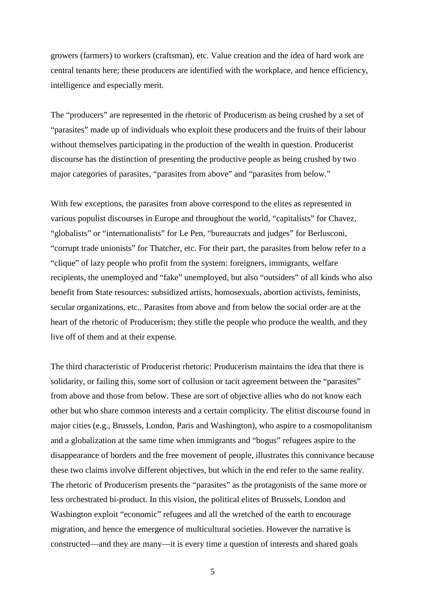growers (farmers) to workers (craftsman), etc. Value creation and the idea of hard work are central tenants here; these producers are identified with the workplace, and hence efficiency, intelligence and especially merit.

The "producers" are represented in the rhetoric of Producerism as being crushed by a set of "parasites" made up of individuals who exploit these producers and the fruits of their labour without themselves participating in the production of the wealth in question. Producerist discourse has the distinction of presenting the productive people as being crushed by two major categories of parasites, "parasites from above" and "parasites from below."

With few exceptions, the parasites from above correspond to the elites as represented in various populist discourses in Europe and throughout the world, "capitalists" for Chavez, "globalists" or "internationalists" for Le Pen, "bureaucrats and judges" for Berlusconi, "corrupt trade unionists" for Thatcher, etc. For their part, the parasites from below refer to a "clique" of lazy people who profit from the system: foreigners, immigrants, welfare recipients, the unemployed and "fake" unemployed, but also "outsiders" of all kinds who also benefit from State resources: subsidized artists, homosexuals, abortion activists, feminists, secular organizations, etc.. Parasites from above and from below the social order are at the heart of the rhetoric of Producerism; they stifle the people who produce the wealth, and they live off of them and at their expense.

The third characteristic of Producerist rhetoric: Producerism maintains the idea that there is solidarity, or failing this, some sort of collusion or tacit agreement between the "parasites" from above and those from below. These are sort of objective allies who do not know each other but who share common interests and a certain complicity. The elitist discourse found in major cities (e.g., Brussels, London, Paris and Washington), who aspire to a cosmopolitanism and a globalization at the same time when immigrants and "bogus" refugees aspire to the disappearance of borders and the free movement of people, illustrates this connivance because these two claims involve different objectives, but which in the end refer to the same reality. The rhetoric of Producerism presents the "parasites" as the protagonists of the same more or less orchestrated bi-product. In this vision, the political elites of Brussels, London and Washington exploit "economic" refugees and all the wretched of the earth to encourage migration, and hence the emergence of multicultural societies. However the narrative is constructed—and they are many—it is every time a question of interests and shared goals

5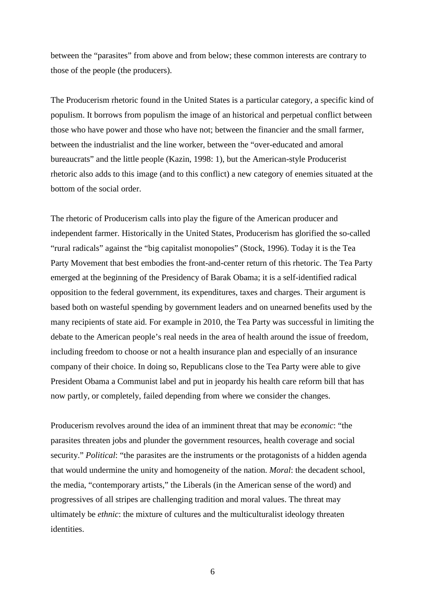between the "parasites" from above and from below; these common interests are contrary to those of the people (the producers).

The Producerism rhetoric found in the United States is a particular category, a specific kind of populism. It borrows from populism the image of an historical and perpetual conflict between those who have power and those who have not; between the financier and the small farmer, between the industrialist and the line worker, between the "over-educated and amoral bureaucrats" and the little people (Kazin, 1998: 1), but the American-style Producerist rhetoric also adds to this image (and to this conflict) a new category of enemies situated at the bottom of the social order.

The rhetoric of Producerism calls into play the figure of the American producer and independent farmer. Historically in the United States, Producerism has glorified the so-called "rural radicals" against the "big capitalist monopolies" (Stock, 1996). Today it is the Tea Party Movement that best embodies the front-and-center return of this rhetoric. The Tea Party emerged at the beginning of the Presidency of Barak Obama; it is a self-identified radical opposition to the federal government, its expenditures, taxes and charges. Their argument is based both on wasteful spending by government leaders and on unearned benefits used by the many recipients of state aid. For example in 2010, the Tea Party was successful in limiting the debate to the American people's real needs in the area of health around the issue of freedom, including freedom to choose or not a health insurance plan and especially of an insurance company of their choice. In doing so, Republicans close to the Tea Party were able to give President Obama a Communist label and put in jeopardy his health care reform bill that has now partly, or completely, failed depending from where we consider the changes.

Producerism revolves around the idea of an imminent threat that may be *economic*: "the parasites threaten jobs and plunder the government resources, health coverage and social security." *Political*: "the parasites are the instruments or the protagonists of a hidden agenda that would undermine the unity and homogeneity of the nation. *Moral*: the decadent school, the media, "contemporary artists," the Liberals (in the American sense of the word) and progressives of all stripes are challenging tradition and moral values. The threat may ultimately be *ethnic*: the mixture of cultures and the multiculturalist ideology threaten identities.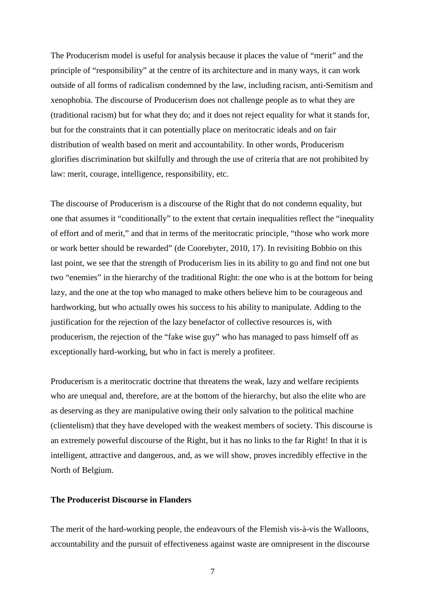The Producerism model is useful for analysis because it places the value of "merit" and the principle of "responsibility" at the centre of its architecture and in many ways, it can work outside of all forms of radicalism condemned by the law, including racism, anti-Semitism and xenophobia. The discourse of Producerism does not challenge people as to what they are (traditional racism) but for what they do; and it does not reject equality for what it stands for, but for the constraints that it can potentially place on meritocratic ideals and on fair distribution of wealth based on merit and accountability. In other words, Producerism glorifies discrimination but skilfully and through the use of criteria that are not prohibited by law: merit, courage, intelligence, responsibility, etc.

The discourse of Producerism is a discourse of the Right that do not condemn equality, but one that assumes it "conditionally" to the extent that certain inequalities reflect the "inequality of effort and of merit," and that in terms of the meritocratic principle, "those who work more or work better should be rewarded" (de Coorebyter, 2010, 17). In revisiting Bobbio on this last point, we see that the strength of Producerism lies in its ability to go and find not one but two "enemies" in the hierarchy of the traditional Right: the one who is at the bottom for being lazy, and the one at the top who managed to make others believe him to be courageous and hardworking, but who actually owes his success to his ability to manipulate. Adding to the justification for the rejection of the lazy benefactor of collective resources is, with producerism, the rejection of the "fake wise guy" who has managed to pass himself off as exceptionally hard-working, but who in fact is merely a profiteer.

Producerism is a meritocratic doctrine that threatens the weak, lazy and welfare recipients who are unequal and, therefore, are at the bottom of the hierarchy, but also the elite who are as deserving as they are manipulative owing their only salvation to the political machine (clientelism) that they have developed with the weakest members of society. This discourse is an extremely powerful discourse of the Right, but it has no links to the far Right! In that it is intelligent, attractive and dangerous, and, as we will show, proves incredibly effective in the North of Belgium.

#### **The Producerist Discourse in Flanders**

The merit of the hard-working people, the endeavours of the Flemish vis-à-vis the Walloons, accountability and the pursuit of effectiveness against waste are omnipresent in the discourse

7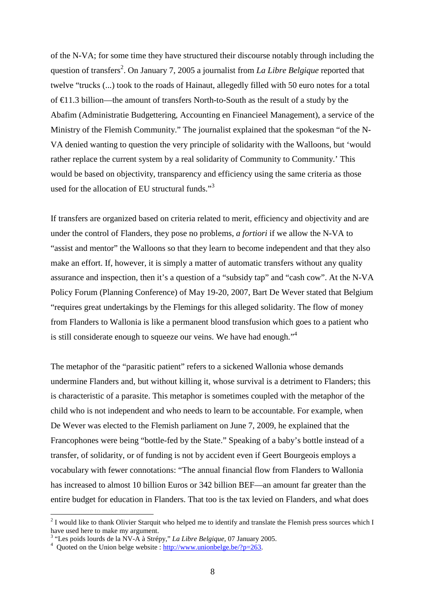of the N-VA; for some time they have structured their discourse notably through including the question of transfers<sup>2</sup>. On January 7, 2005 a journalist from *La Libre Belgique* reported that twelve "trucks (...) took to the roads of Hainaut, allegedly filled with 50 euro notes for a total of €11.3 billion—the amount of transfers North-to-South as the result of a study by the Abafim (Administratie Budgettering, Accounting en Financieel Management), a service of the Ministry of the Flemish Community." The journalist explained that the spokesman "of the N-VA denied wanting to question the very principle of solidarity with the Walloons, but 'would rather replace the current system by a real solidarity of Community to Community.' This would be based on objectivity, transparency and efficiency using the same criteria as those used for the allocation of EU structural funds."<sup>3</sup>

If transfers are organized based on criteria related to merit, efficiency and objectivity and are under the control of Flanders, they pose no problems, *a fortiori* if we allow the N-VA to "assist and mentor" the Walloons so that they learn to become independent and that they also make an effort. If, however, it is simply a matter of automatic transfers without any quality assurance and inspection, then it's a question of a "subsidy tap" and "cash cow". At the N-VA Policy Forum (Planning Conference) of May 19-20, 2007, Bart De Wever stated that Belgium "requires great undertakings by the Flemings for this alleged solidarity. The flow of money from Flanders to Wallonia is like a permanent blood transfusion which goes to a patient who is still considerate enough to squeeze our veins. We have had enough."<sup>4</sup>

The metaphor of the "parasitic patient" refers to a sickened Wallonia whose demands undermine Flanders and, but without killing it, whose survival is a detriment to Flanders; this is characteristic of a parasite. This metaphor is sometimes coupled with the metaphor of the child who is not independent and who needs to learn to be accountable. For example, when De Wever was elected to the Flemish parliament on June 7, 2009, he explained that the Francophones were being "bottle-fed by the State." Speaking of a baby's bottle instead of a transfer, of solidarity, or of funding is not by accident even if Geert Bourgeois employs a vocabulary with fewer connotations: "The annual financial flow from Flanders to Wallonia has increased to almost 10 billion Euros or 342 billion BEF—an amount far greater than the entire budget for education in Flanders. That too is the tax levied on Flanders, and what does

 $2<sup>2</sup>$  I would like to thank Olivier Starquit who helped me to identify and translate the Flemish press sources which I have used here to make my argument.

<sup>3</sup> "Les poids lourds de la NV-A à Strépy," *La Libre Belgique*, 07 January 2005.

 $4$  Quoted on the Union belge website : http://www.unionbelge.be/?p=263.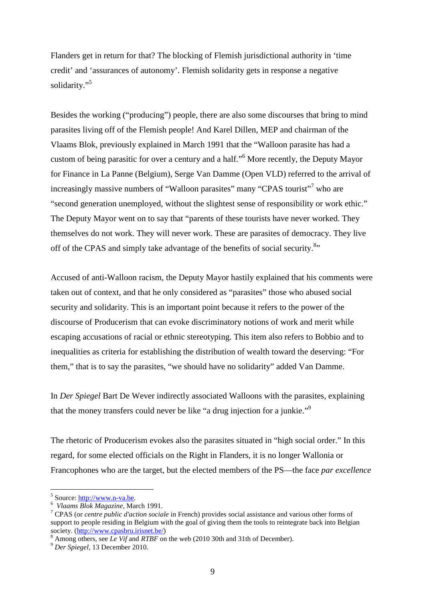Flanders get in return for that? The blocking of Flemish jurisdictional authority in 'time credit' and 'assurances of autonomy'. Flemish solidarity gets in response a negative solidarity."<sup>5</sup>

Besides the working ("producing") people, there are also some discourses that bring to mind parasites living off of the Flemish people! And Karel Dillen, MEP and chairman of the Vlaams Blok, previously explained in March 1991 that the "Walloon parasite has had a custom of being parasitic for over a century and a half."<sup>6</sup> More recently, the Deputy Mayor for Finance in La Panne (Belgium), Serge Van Damme (Open VLD) referred to the arrival of increasingly massive numbers of "Walloon parasites" many "CPAS tourist"<sup>7</sup> who are "second generation unemployed, without the slightest sense of responsibility or work ethic." The Deputy Mayor went on to say that "parents of these tourists have never worked. They themselves do not work. They will never work. These are parasites of democracy. They live off of the CPAS and simply take advantage of the benefits of social security.<sup>8</sup>"

Accused of anti-Walloon racism, the Deputy Mayor hastily explained that his comments were taken out of context, and that he only considered as "parasites" those who abused social security and solidarity. This is an important point because it refers to the power of the discourse of Producerism that can evoke discriminatory notions of work and merit while escaping accusations of racial or ethnic stereotyping. This item also refers to Bobbio and to inequalities as criteria for establishing the distribution of wealth toward the deserving: "For them," that is to say the parasites, "we should have no solidarity" added Van Damme.

In *Der Spiegel* Bart De Wever indirectly associated Walloons with the parasites, explaining that the money transfers could never be like "a drug injection for a junkie."<sup>9</sup>

The rhetoric of Producerism evokes also the parasites situated in "high social order." In this regard, for some elected officials on the Right in Flanders, it is no longer Wallonia or Francophones who are the target, but the elected members of the PS—the face *par excellence*

<sup>&</sup>lt;sup>5</sup> Source: <u>http://www.n-va.be</u>.

<sup>6</sup> *Vlaams Blok Magazine*, March 1991.

<sup>7</sup> CPAS (or *centre public d'action sociale* in French) provides social assistance and various other forms of support to people residing in Belgium with the goal of giving them the tools to reintegrate back into Belgian society. (http://www.cpasbru.irisnet.be/)

<sup>8</sup> Among others, see *Le Vif* and *RTBF* on the web (2010 30th and 31th of December).

<sup>9</sup> *Der Spiegel*, 13 December 2010.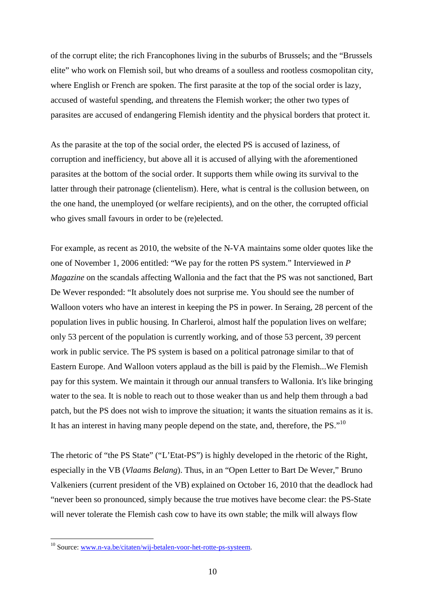of the corrupt elite; the rich Francophones living in the suburbs of Brussels; and the "Brussels elite" who work on Flemish soil, but who dreams of a soulless and rootless cosmopolitan city, where English or French are spoken. The first parasite at the top of the social order is lazy, accused of wasteful spending, and threatens the Flemish worker; the other two types of parasites are accused of endangering Flemish identity and the physical borders that protect it.

As the parasite at the top of the social order, the elected PS is accused of laziness, of corruption and inefficiency, but above all it is accused of allying with the aforementioned parasites at the bottom of the social order. It supports them while owing its survival to the latter through their patronage (clientelism). Here, what is central is the collusion between, on the one hand, the unemployed (or welfare recipients), and on the other, the corrupted official who gives small favours in order to be (re)elected.

For example, as recent as 2010, the website of the N-VA maintains some older quotes like the one of November 1, 2006 entitled: "We pay for the rotten PS system." Interviewed in *P Magazine* on the scandals affecting Wallonia and the fact that the PS was not sanctioned, Bart De Wever responded: "It absolutely does not surprise me. You should see the number of Walloon voters who have an interest in keeping the PS in power. In Seraing, 28 percent of the population lives in public housing. In Charleroi, almost half the population lives on welfare; only 53 percent of the population is currently working, and of those 53 percent, 39 percent work in public service. The PS system is based on a political patronage similar to that of Eastern Europe. And Walloon voters applaud as the bill is paid by the Flemish...We Flemish pay for this system. We maintain it through our annual transfers to Wallonia. It's like bringing water to the sea. It is noble to reach out to those weaker than us and help them through a bad patch, but the PS does not wish to improve the situation; it wants the situation remains as it is. It has an interest in having many people depend on the state, and, therefore, the PS."<sup>10</sup>

The rhetoric of "the PS State" ("L'Etat-PS") is highly developed in the rhetoric of the Right, especially in the VB (*Vlaams Belang*). Thus, in an "Open Letter to Bart De Wever," Bruno Valkeniers (current president of the VB) explained on October 16, 2010 that the deadlock had "never been so pronounced, simply because the true motives have become clear: the PS-State will never tolerate the Flemish cash cow to have its own stable; the milk will always flow

<sup>&</sup>lt;sup>10</sup> Source: www.n-va.be/citaten/wij-betalen-voor-het-rotte-ps-systeem.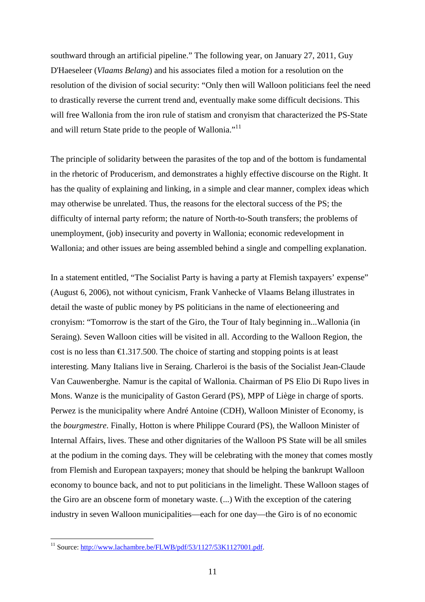southward through an artificial pipeline." The following year, on January 27, 2011, Guy D'Haeseleer (*Vlaams Belang*) and his associates filed a motion for a resolution on the resolution of the division of social security: "Only then will Walloon politicians feel the need to drastically reverse the current trend and, eventually make some difficult decisions. This will free Wallonia from the iron rule of statism and cronyism that characterized the PS-State and will return State pride to the people of Wallonia."<sup>11</sup>

The principle of solidarity between the parasites of the top and of the bottom is fundamental in the rhetoric of Producerism, and demonstrates a highly effective discourse on the Right. It has the quality of explaining and linking, in a simple and clear manner, complex ideas which may otherwise be unrelated. Thus, the reasons for the electoral success of the PS; the difficulty of internal party reform; the nature of North-to-South transfers; the problems of unemployment, (job) insecurity and poverty in Wallonia; economic redevelopment in Wallonia; and other issues are being assembled behind a single and compelling explanation.

In a statement entitled, "The Socialist Party is having a party at Flemish taxpayers' expense" (August 6, 2006), not without cynicism, Frank Vanhecke of Vlaams Belang illustrates in detail the waste of public money by PS politicians in the name of electioneering and cronyism: "Tomorrow is the start of the Giro, the Tour of Italy beginning in...Wallonia (in Seraing). Seven Walloon cities will be visited in all. According to the Walloon Region, the cost is no less than  $\epsilon$ 1.317.500. The choice of stating and stopping points is at least interesting. Many Italians live in Seraing. Charleroi is the basis of the Socialist Jean-Claude Van Cauwenberghe. Namur is the capital of Wallonia. Chairman of PS Elio Di Rupo lives in Mons. Wanze is the municipality of Gaston Gerard (PS), MPP of Liège in charge of sports. Perwez is the municipality where André Antoine (CDH), Walloon Minister of Economy, is the *bourgmestre*. Finally, Hotton is where Philippe Courard (PS), the Walloon Minister of Internal Affairs, lives. These and other dignitaries of the Walloon PS State will be all smiles at the podium in the coming days. They will be celebrating with the money that comes mostly from Flemish and European taxpayers; money that should be helping the bankrupt Walloon economy to bounce back, and not to put politicians in the limelight. These Walloon stages of the Giro are an obscene form of monetary waste. (...) With the exception of the catering industry in seven Walloon municipalities—each for one day—the Giro is of no economic

<sup>&</sup>lt;sup>11</sup> Source: http://www.lachambre.be/FLWB/pdf/53/1127/53K1127001.pdf.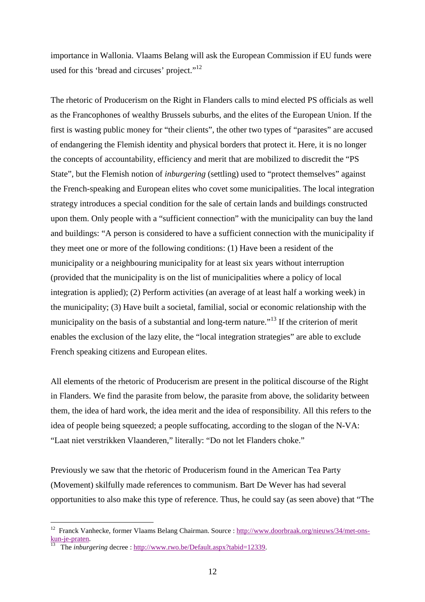importance in Wallonia. Vlaams Belang will ask the European Commission if EU funds were used for this 'bread and circuses' project."<sup>12</sup>

The rhetoric of Producerism on the Right in Flanders calls to mind elected PS officials as well as the Francophones of wealthy Brussels suburbs, and the elites of the European Union. If the first is wasting public money for "their clients", the other two types of "parasites" are accused of endangering the Flemish identity and physical borders that protect it. Here, it is no longer the concepts of accountability, efficiency and merit that are mobilized to discredit the "PS State", but the Flemish notion of *inburgering* (settling) used to "protect themselves" against the French-speaking and European elites who covet some municipalities. The local integration strategy introduces a special condition for the sale of certain lands and buildings constructed upon them. Only people with a "sufficient connection" with the municipality can buy the land and buildings: "A person is considered to have a sufficient connection with the municipality if they meet one or more of the following conditions: (1) Have been a resident of the municipality or a neighbouring municipality for at least six years without interruption (provided that the municipality is on the list of municipalities where a policy of local integration is applied); (2) Perform activities (an average of at least half a working week) in the municipality; (3) Have built a societal, familial, social or economic relationship with the municipality on the basis of a substantial and long-term nature."<sup>13</sup> If the criterion of merit enables the exclusion of the lazy elite, the "local integration strategies" are able to exclude French speaking citizens and European elites.

All elements of the rhetoric of Producerism are present in the political discourse of the Right in Flanders. We find the parasite from below, the parasite from above, the solidarity between them, the idea of hard work, the idea merit and the idea of responsibility. All this refers to the idea of people being squeezed; a people suffocating, according to the slogan of the N-VA: "Laat niet verstrikken Vlaanderen," literally: "Do not let Flanders choke."

Previously we saw that the rhetoric of Producerism found in the American Tea Party (Movement) skilfully made references to communism. Bart De Wever has had several opportunities to also make this type of reference. Thus, he could say (as seen above) that "The

<sup>&</sup>lt;sup>12</sup> Franck Vanhecke, former Vlaams Belang Chairman. Source : http://www.doorbraak.org/nieuws/34/met-onskun-je-praten.

<sup>13</sup> The *inburgering* decree : http://www.rwo.be/Default.aspx?tabid=12339.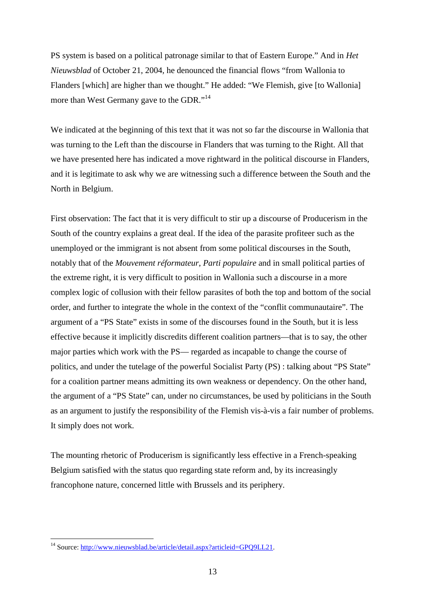PS system is based on a political patronage similar to that of Eastern Europe." And in *Het Nieuwsblad* of October 21, 2004, he denounced the financial flows "from Wallonia to Flanders [which] are higher than we thought." He added: "We Flemish, give [to Wallonia] more than West Germany gave to the GDR."<sup>14</sup>

We indicated at the beginning of this text that it was not so far the discourse in Wallonia that was turning to the Left than the discourse in Flanders that was turning to the Right. All that we have presented here has indicated a move rightward in the political discourse in Flanders, and it is legitimate to ask why we are witnessing such a difference between the South and the North in Belgium.

First observation: The fact that it is very difficult to stir up a discourse of Producerism in the South of the country explains a great deal. If the idea of the parasite profiteer such as the unemployed or the immigrant is not absent from some political discourses in the South, notably that of the *Mouvement réformateur*, *Parti populaire* and in small political parties of the extreme right, it is very difficult to position in Wallonia such a discourse in a more complex logic of collusion with their fellow parasites of both the top and bottom of the social order, and further to integrate the whole in the context of the "conflit communautaire". The argument of a "PS State" exists in some of the discourses found in the South, but it is less effective because it implicitly discredits different coalition partners—that is to say, the other major parties which work with the PS— regarded as incapable to change the course of politics, and under the tutelage of the powerful Socialist Party (PS) : talking about "PS State" for a coalition partner means admitting its own weakness or dependency. On the other hand, the argument of a "PS State" can, under no circumstances, be used by politicians in the South as an argument to justify the responsibility of the Flemish vis-à-vis a fair number of problems. It simply does not work.

The mounting rhetoric of Producerism is significantly less effective in a French-speaking Belgium satisfied with the status quo regarding state reform and, by its increasingly francophone nature, concerned little with Brussels and its periphery.

<sup>&</sup>lt;sup>14</sup> Source: http://www.nieuwsblad.be/article/detail.aspx?articleid=GPQ9LL21.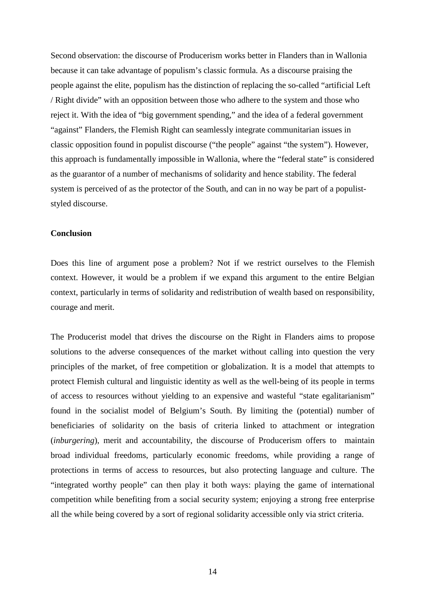Second observation: the discourse of Producerism works better in Flanders than in Wallonia because it can take advantage of populism's classic formula. As a discourse praising the people against the elite, populism has the distinction of replacing the so-called "artificial Left / Right divide" with an opposition between those who adhere to the system and those who reject it. With the idea of "big government spending," and the idea of a federal government "against" Flanders, the Flemish Right can seamlessly integrate communitarian issues in classic opposition found in populist discourse ("the people" against "the system"). However, this approach is fundamentally impossible in Wallonia, where the "federal state" is considered as the guarantor of a number of mechanisms of solidarity and hence stability. The federal system is perceived of as the protector of the South, and can in no way be part of a populiststyled discourse.

## **Conclusion**

Does this line of argument pose a problem? Not if we restrict ourselves to the Flemish context. However, it would be a problem if we expand this argument to the entire Belgian context, particularly in terms of solidarity and redistribution of wealth based on responsibility, courage and merit.

The Producerist model that drives the discourse on the Right in Flanders aims to propose solutions to the adverse consequences of the market without calling into question the very principles of the market, of free competition or globalization. It is a model that attempts to protect Flemish cultural and linguistic identity as well as the well-being of its people in terms of access to resources without yielding to an expensive and wasteful "state egalitarianism" found in the socialist model of Belgium's South. By limiting the (potential) number of beneficiaries of solidarity on the basis of criteria linked to attachment or integration (*inburgering*), merit and accountability, the discourse of Producerism offers to maintain broad individual freedoms, particularly economic freedoms, while providing a range of protections in terms of access to resources, but also protecting language and culture. The "integrated worthy people" can then play it both ways: playing the game of international competition while benefiting from a social security system; enjoying a strong free enterprise all the while being covered by a sort of regional solidarity accessible only via strict criteria.